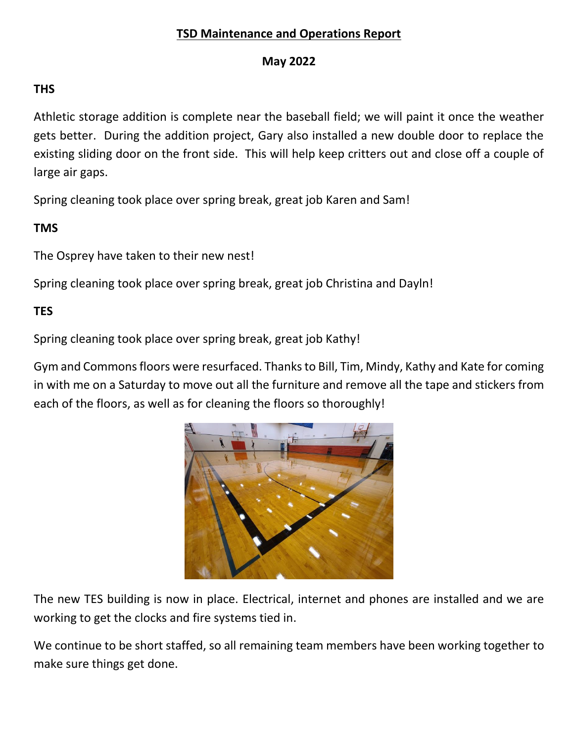# **TSD Maintenance and Operations Report**

#### **May 2022**

#### **THS**

Athletic storage addition is complete near the baseball field; we will paint it once the weather gets better. During the addition project, Gary also installed a new double door to replace the existing sliding door on the front side. This will help keep critters out and close off a couple of large air gaps.

Spring cleaning took place over spring break, great job Karen and Sam!

# **TMS**

The Osprey have taken to their new nest!

Spring cleaning took place over spring break, great job Christina and Dayln!

# **TES**

Spring cleaning took place over spring break, great job Kathy!

Gym and Commons floors were resurfaced. Thanks to Bill, Tim, Mindy, Kathy and Kate for coming in with me on a Saturday to move out all the furniture and remove all the tape and stickers from each of the floors, as well as for cleaning the floors so thoroughly!



The new TES building is now in place. Electrical, internet and phones are installed and we are working to get the clocks and fire systems tied in.

We continue to be short staffed, so all remaining team members have been working together to make sure things get done.